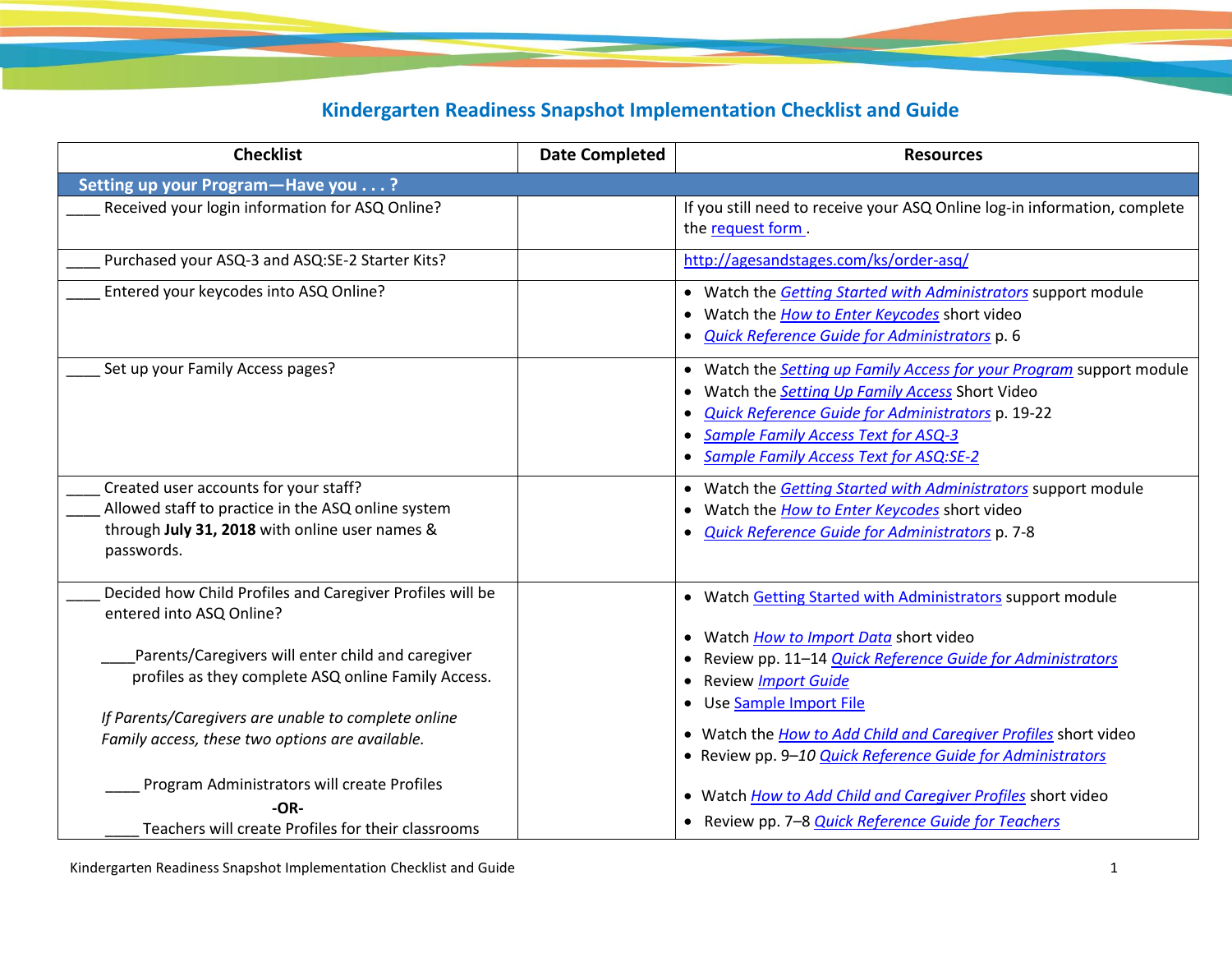## **Kindergarten Readiness Snapshot Implementation Checklist and Guide**

| <b>Checklist</b>                                                                                                                                            | <b>Date Completed</b> | <b>Resources</b>                                                                                                                                                                                                                                                                                   |
|-------------------------------------------------------------------------------------------------------------------------------------------------------------|-----------------------|----------------------------------------------------------------------------------------------------------------------------------------------------------------------------------------------------------------------------------------------------------------------------------------------------|
| Setting up your Program-Have you?                                                                                                                           |                       |                                                                                                                                                                                                                                                                                                    |
| Received your login information for ASQ Online?                                                                                                             |                       | If you still need to receive your ASQ Online log-in information, complete<br>the request form.                                                                                                                                                                                                     |
| Purchased your ASQ-3 and ASQ:SE-2 Starter Kits?                                                                                                             |                       | http://agesandstages.com/ks/order-asq/                                                                                                                                                                                                                                                             |
| Entered your keycodes into ASQ Online?                                                                                                                      |                       | • Watch the Getting Started with Administrators support module<br>Watch the How to Enter Keycodes short video<br>Quick Reference Guide for Administrators p. 6                                                                                                                                     |
| Set up your Family Access pages?                                                                                                                            |                       | Watch the Setting up Family Access for your Program support module<br>$\bullet$<br>Watch the Setting Up Family Access Short Video<br>Quick Reference Guide for Administrators p. 19-22<br><b>Sample Family Access Text for ASQ-3</b><br>$\bullet$<br><b>Sample Family Access Text for ASQ:SE-2</b> |
| Created user accounts for your staff?<br>Allowed staff to practice in the ASQ online system<br>through July 31, 2018 with online user names &<br>passwords. |                       | Watch the <b>Getting Started with Administrators</b> support module<br>$\bullet$<br>Watch the How to Enter Keycodes short video<br>Quick Reference Guide for Administrators p. 7-8                                                                                                                 |
| Decided how Child Profiles and Caregiver Profiles will be<br>entered into ASQ Online?                                                                       |                       | Watch Getting Started with Administrators support module<br>Watch <i>How to Import Data</i> short video<br>$\bullet$                                                                                                                                                                               |
| Parents/Caregivers will enter child and caregiver<br>profiles as they complete ASQ online Family Access.                                                    |                       | Review pp. 11-14 Quick Reference Guide for Administrators<br>Review Import Guide<br>$\bullet$<br>Use Sample Import File                                                                                                                                                                            |
| If Parents/Caregivers are unable to complete online<br>Family access, these two options are available.                                                      |                       | • Watch the How to Add Child and Caregiver Profiles short video<br>• Review pp. 9-10 Quick Reference Guide for Administrators                                                                                                                                                                      |
| Program Administrators will create Profiles<br>-OR-<br>Teachers will create Profiles for their classrooms                                                   |                       | • Watch How to Add Child and Caregiver Profiles short video<br>• Review pp. 7-8 Quick Reference Guide for Teachers                                                                                                                                                                                 |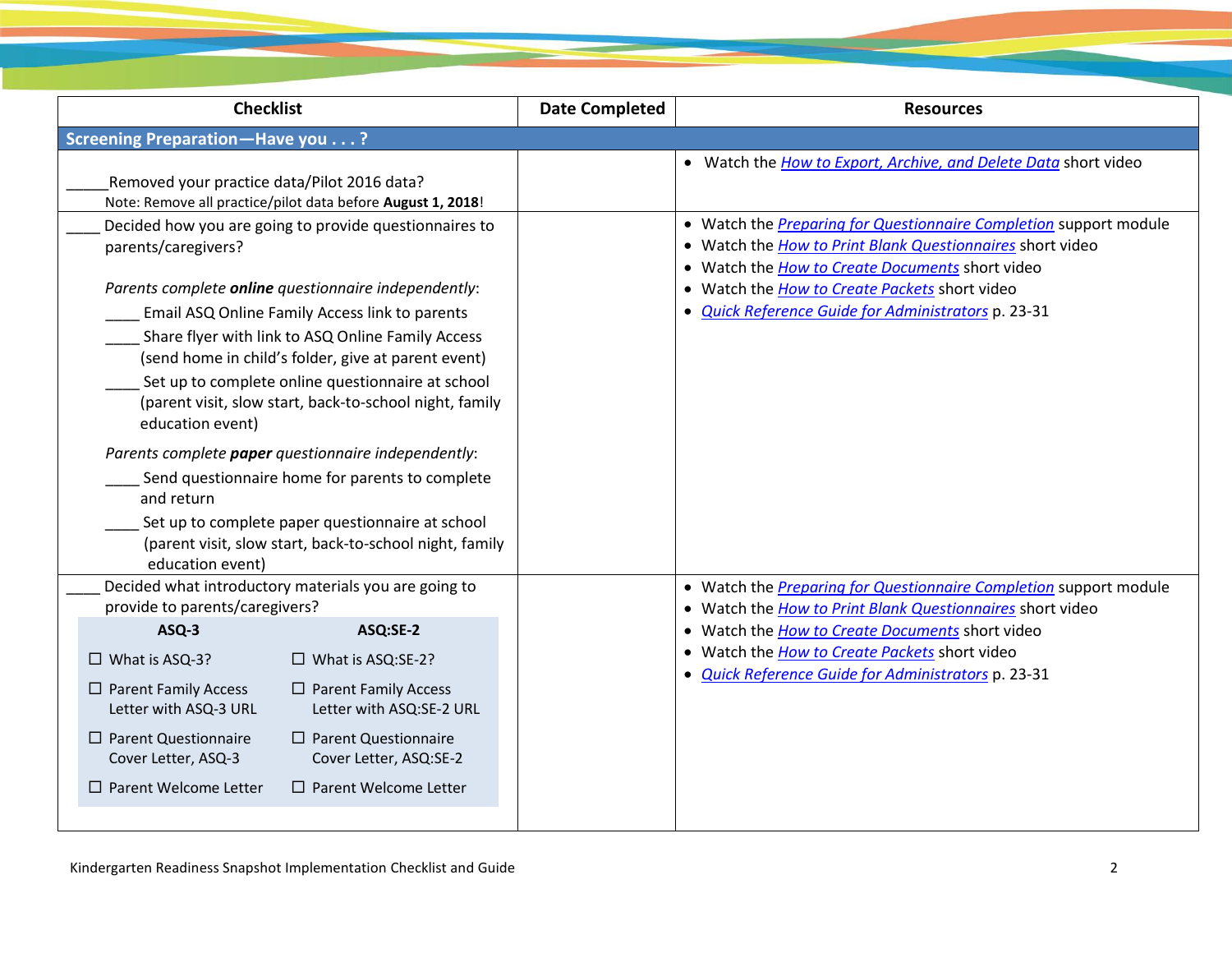| <b>Checklist</b>                                                                                                                                                                                                         | <b>Date Completed</b> | <b>Resources</b>                                                                                                                                                                         |
|--------------------------------------------------------------------------------------------------------------------------------------------------------------------------------------------------------------------------|-----------------------|------------------------------------------------------------------------------------------------------------------------------------------------------------------------------------------|
| Screening Preparation-Have you?                                                                                                                                                                                          |                       |                                                                                                                                                                                          |
| Removed your practice data/Pilot 2016 data?<br>Note: Remove all practice/pilot data before August 1, 2018!                                                                                                               |                       | • Watch the How to Export, Archive, and Delete Data short video                                                                                                                          |
| Decided how you are going to provide questionnaires to<br>parents/caregivers?                                                                                                                                            |                       | • Watch the <i>Preparing for Questionnaire Completion</i> support module<br>• Watch the How to Print Blank Questionnaires short video<br>• Watch the How to Create Documents short video |
| Parents complete <b>online</b> questionnaire independently:                                                                                                                                                              |                       | • Watch the How to Create Packets short video                                                                                                                                            |
| Email ASQ Online Family Access link to parents                                                                                                                                                                           |                       | · Quick Reference Guide for Administrators p. 23-31                                                                                                                                      |
| Share flyer with link to ASQ Online Family Access<br>(send home in child's folder, give at parent event)<br>Set up to complete online questionnaire at school<br>(parent visit, slow start, back-to-school night, family |                       |                                                                                                                                                                                          |
| education event)                                                                                                                                                                                                         |                       |                                                                                                                                                                                          |
| Parents complete paper questionnaire independently:                                                                                                                                                                      |                       |                                                                                                                                                                                          |
| Send questionnaire home for parents to complete<br>and return                                                                                                                                                            |                       |                                                                                                                                                                                          |
| Set up to complete paper questionnaire at school<br>(parent visit, slow start, back-to-school night, family<br>education event)                                                                                          |                       |                                                                                                                                                                                          |
| Decided what introductory materials you are going to<br>provide to parents/caregivers?                                                                                                                                   |                       | • Watch the <i>Preparing for Questionnaire Completion</i> support module<br>• Watch the How to Print Blank Questionnaires short video                                                    |
| ASQ-3<br>ASQ:SE-2                                                                                                                                                                                                        |                       | • Watch the <i>How to Create Documents</i> short video                                                                                                                                   |
| $\Box$ What is ASQ-3?<br>$\Box$ What is ASQ:SE-2?                                                                                                                                                                        |                       | • Watch the <i>How to Create Packets</i> short video                                                                                                                                     |
| $\Box$ Parent Family Access<br>$\Box$ Parent Family Access<br>Letter with ASQ:SE-2 URL<br>Letter with ASQ-3 URL                                                                                                          |                       | · Quick Reference Guide for Administrators p. 23-31                                                                                                                                      |
| $\Box$ Parent Questionnaire<br>$\Box$ Parent Questionnaire<br>Cover Letter, ASQ-3<br>Cover Letter, ASQ:SE-2                                                                                                              |                       |                                                                                                                                                                                          |
| $\Box$ Parent Welcome Letter<br>$\Box$ Parent Welcome Letter                                                                                                                                                             |                       |                                                                                                                                                                                          |
|                                                                                                                                                                                                                          |                       |                                                                                                                                                                                          |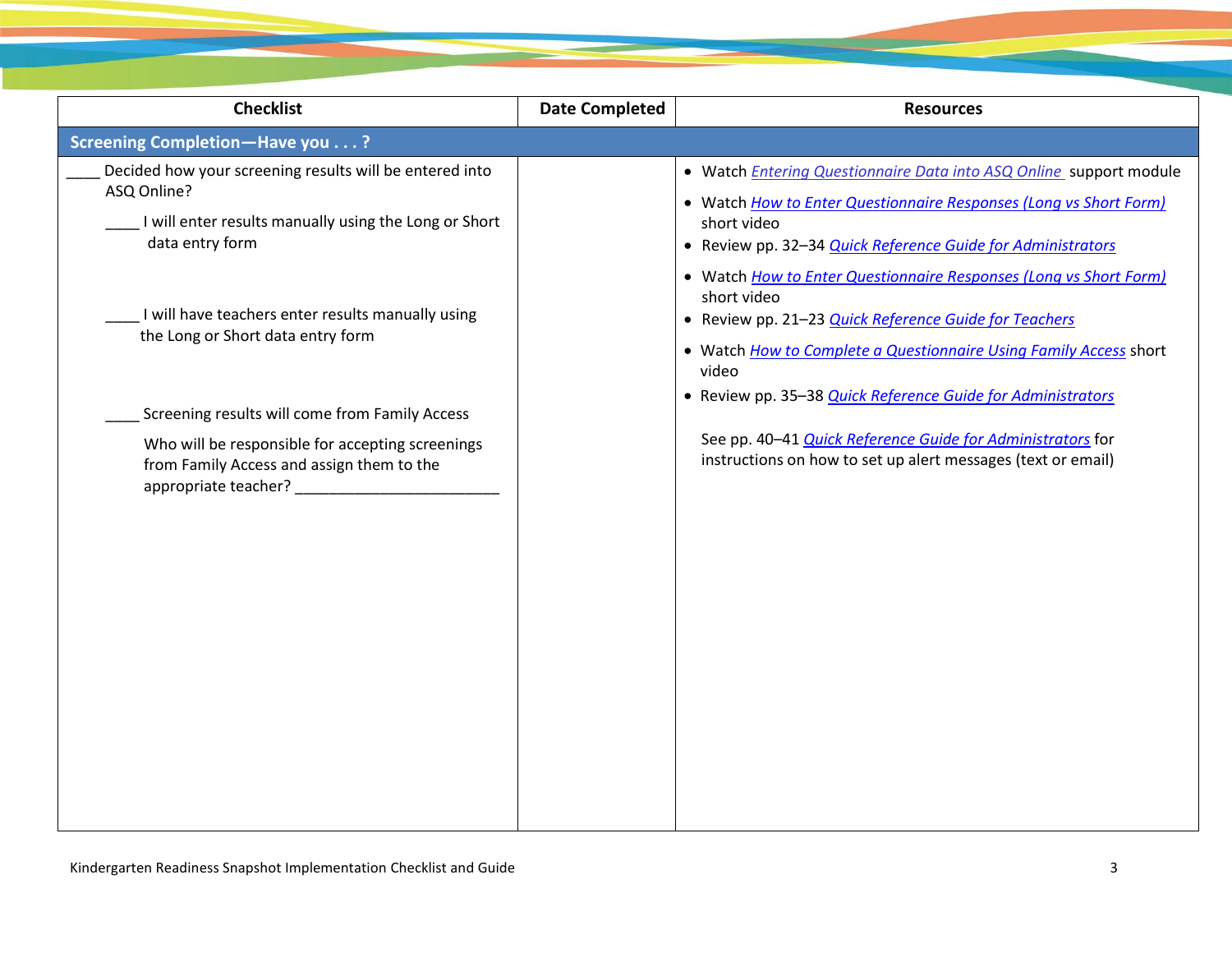| <b>Checklist</b>                                                                                                                                   | <b>Date Completed</b> | <b>Resources</b>                                                                                                                                                                                                             |
|----------------------------------------------------------------------------------------------------------------------------------------------------|-----------------------|------------------------------------------------------------------------------------------------------------------------------------------------------------------------------------------------------------------------------|
| <b>Screening Completion-Have you?</b>                                                                                                              |                       |                                                                                                                                                                                                                              |
| Decided how your screening results will be entered into<br>ASQ Online?<br>I will enter results manually using the Long or Short<br>data entry form |                       | • Watch <i>Entering Questionnaire Data into ASQ Online</i> support module<br>• Watch How to Enter Questionnaire Responses (Long vs Short Form)<br>short video<br>• Review pp. 32-34 Quick Reference Guide for Administrators |
| I will have teachers enter results manually using<br>the Long or Short data entry form                                                             |                       | • Watch How to Enter Questionnaire Responses (Long vs Short Form)<br>short video<br>• Review pp. 21-23 Quick Reference Guide for Teachers<br>• Watch How to Complete a Questionnaire Using Family Access short<br>video      |
| Screening results will come from Family Access                                                                                                     |                       | • Review pp. 35-38 Quick Reference Guide for Administrators                                                                                                                                                                  |
| Who will be responsible for accepting screenings<br>from Family Access and assign them to the                                                      |                       | See pp. 40-41 Quick Reference Guide for Administrators for<br>instructions on how to set up alert messages (text or email)                                                                                                   |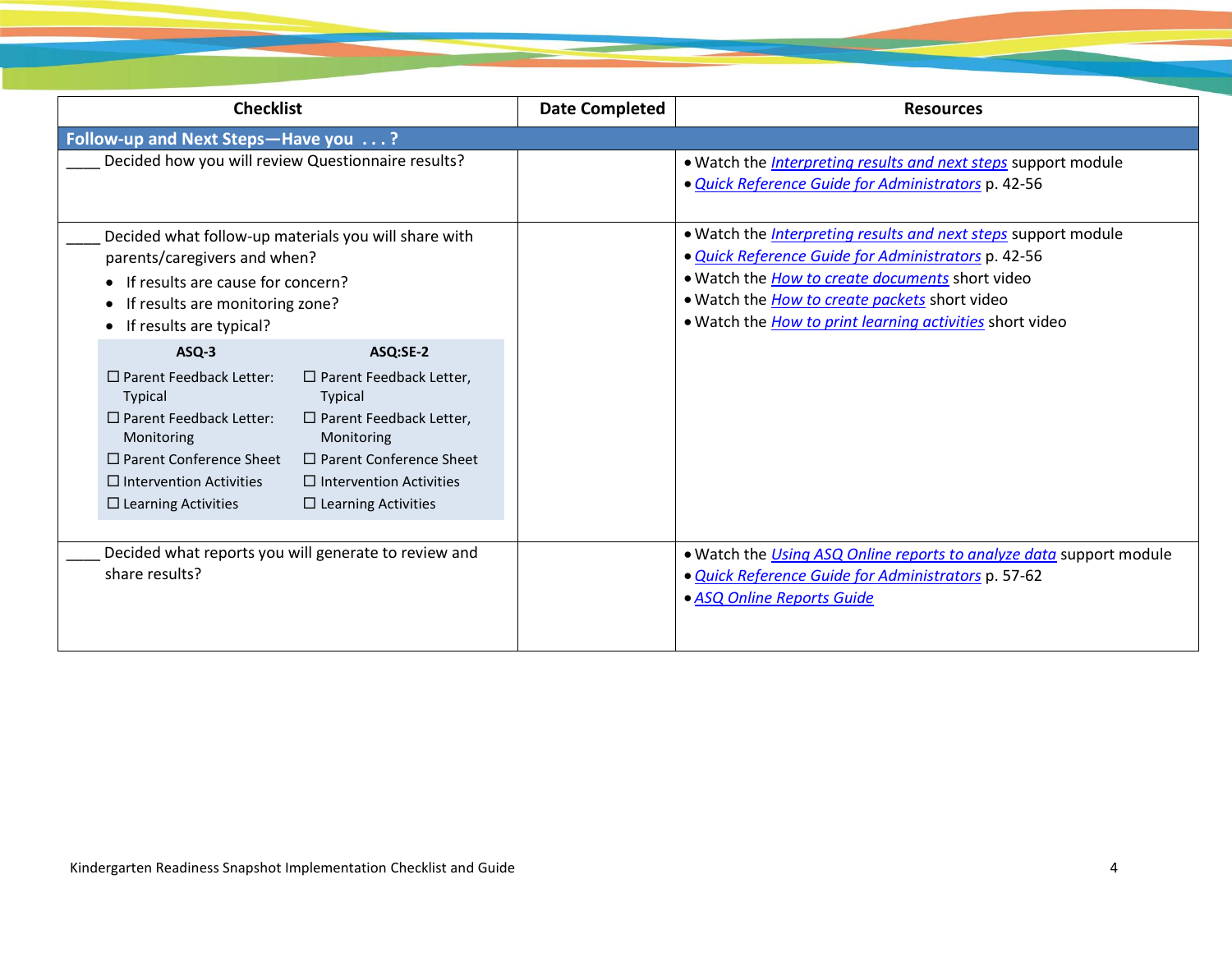| <b>Checklist</b>                                                                                                                                                                                                                                                                    |                                                                                                    | <b>Date Completed</b> | <b>Resources</b>                                                                                                                                                                                                                                                                                                  |
|-------------------------------------------------------------------------------------------------------------------------------------------------------------------------------------------------------------------------------------------------------------------------------------|----------------------------------------------------------------------------------------------------|-----------------------|-------------------------------------------------------------------------------------------------------------------------------------------------------------------------------------------------------------------------------------------------------------------------------------------------------------------|
| Follow-up and Next Steps-Have you ?                                                                                                                                                                                                                                                 |                                                                                                    |                       |                                                                                                                                                                                                                                                                                                                   |
| Decided how you will review Questionnaire results?                                                                                                                                                                                                                                  |                                                                                                    |                       | . Watch the <i>Interpreting results and next steps</i> support module<br>· Quick Reference Guide for Administrators p. 42-56                                                                                                                                                                                      |
| Decided what follow-up materials you will share with<br>parents/caregivers and when?<br>• If results are cause for concern?<br>If results are monitoring zone?<br>$\bullet$<br>If results are typical?                                                                              |                                                                                                    |                       | . Watch the <i>Interpreting results and next steps</i> support module<br>· Quick Reference Guide for Administrators p. 42-56<br>. Watch the <i>How to create documents</i> short video<br>. Watch the <i>How to create packets</i> short video<br>. Watch the <i>How to print learning activities</i> short video |
| $ASQ-3$                                                                                                                                                                                                                                                                             | ASQ:SE-2                                                                                           |                       |                                                                                                                                                                                                                                                                                                                   |
| □ Parent Feedback Letter:<br><b>Typical</b><br><b>Typical</b><br>□ Parent Feedback Letter:<br>Monitoring<br>Monitoring<br>□ Parent Conference Sheet<br>$\Box$ Intervention Activities<br>$\Box$ Intervention Activities<br>$\Box$ Learning Activities<br>$\Box$ Learning Activities | $\Box$ Parent Feedback Letter,<br>$\Box$ Parent Feedback Letter,<br>$\Box$ Parent Conference Sheet |                       |                                                                                                                                                                                                                                                                                                                   |
| Decided what reports you will generate to review and<br>share results?                                                                                                                                                                                                              |                                                                                                    |                       | . Watch the <i>Using ASQ Online reports to analyze data</i> support module<br>· Quick Reference Guide for Administrators p. 57-62<br>· ASQ Online Reports Guide                                                                                                                                                   |